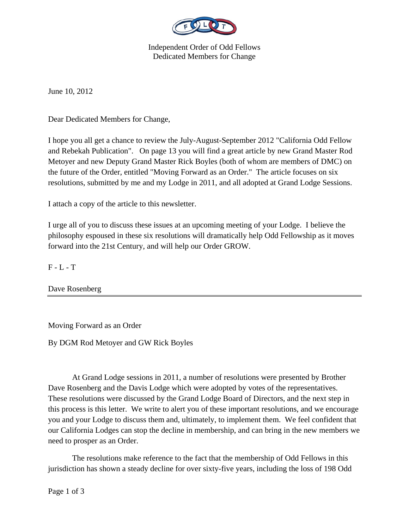

Independent Order of Odd Fellows Dedicated Members for Change

June 10, 2012

Dear Dedicated Members for Change,

I hope you all get a chance to review the July-August-September 2012 "California Odd Fellow and Rebekah Publication". On page 13 you will find a great article by new Grand Master Rod Metoyer and new Deputy Grand Master Rick Boyles (both of whom are members of DMC) on the future of the Order, entitled "Moving Forward as an Order." The article focuses on six resolutions, submitted by me and my Lodge in 2011, and all adopted at Grand Lodge Sessions.

I attach a copy of the article to this newsletter.

I urge all of you to discuss these issues at an upcoming meeting of your Lodge. I believe the philosophy espoused in these six resolutions will dramatically help Odd Fellowship as it moves forward into the 21st Century, and will help our Order GROW.

 $F - L - T$ 

Dave Rosenberg

Moving Forward as an Order

By DGM Rod Metoyer and GW Rick Boyles

 At Grand Lodge sessions in 2011, a number of resolutions were presented by Brother Dave Rosenberg and the Davis Lodge which were adopted by votes of the representatives. These resolutions were discussed by the Grand Lodge Board of Directors, and the next step in this process is this letter. We write to alert you of these important resolutions, and we encourage you and your Lodge to discuss them and, ultimately, to implement them. We feel confident that our California Lodges can stop the decline in membership, and can bring in the new members we need to prosper as an Order.

 The resolutions make reference to the fact that the membership of Odd Fellows in this jurisdiction has shown a steady decline for over sixty-five years, including the loss of 198 Odd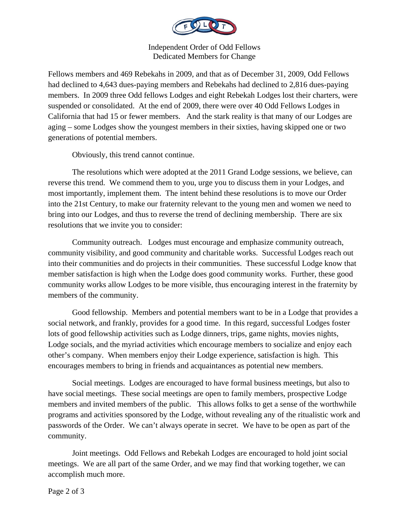

Independent Order of Odd Fellows Dedicated Members for Change

Fellows members and 469 Rebekahs in 2009, and that as of December 31, 2009, Odd Fellows had declined to 4,643 dues-paying members and Rebekahs had declined to 2,816 dues-paying members. In 2009 three Odd fellows Lodges and eight Rebekah Lodges lost their charters, were suspended or consolidated. At the end of 2009, there were over 40 Odd Fellows Lodges in California that had 15 or fewer members. And the stark reality is that many of our Lodges are aging – some Lodges show the youngest members in their sixties, having skipped one or two generations of potential members.

Obviously, this trend cannot continue.

 The resolutions which were adopted at the 2011 Grand Lodge sessions, we believe, can reverse this trend. We commend them to you, urge you to discuss them in your Lodges, and most importantly, implement them. The intent behind these resolutions is to move our Order into the 21st Century, to make our fraternity relevant to the young men and women we need to bring into our Lodges, and thus to reverse the trend of declining membership. There are six resolutions that we invite you to consider:

 Community outreach. Lodges must encourage and emphasize community outreach, community visibility, and good community and charitable works. Successful Lodges reach out into their communities and do projects in their communities. These successful Lodge know that member satisfaction is high when the Lodge does good community works. Further, these good community works allow Lodges to be more visible, thus encouraging interest in the fraternity by members of the community.

 Good fellowship. Members and potential members want to be in a Lodge that provides a social network, and frankly, provides for a good time. In this regard, successful Lodges foster lots of good fellowship activities such as Lodge dinners, trips, game nights, movies nights, Lodge socials, and the myriad activities which encourage members to socialize and enjoy each other's company. When members enjoy their Lodge experience, satisfaction is high. This encourages members to bring in friends and acquaintances as potential new members.

 Social meetings. Lodges are encouraged to have formal business meetings, but also to have social meetings. These social meetings are open to family members, prospective Lodge members and invited members of the public. This allows folks to get a sense of the worthwhile programs and activities sponsored by the Lodge, without revealing any of the ritualistic work and passwords of the Order. We can't always operate in secret. We have to be open as part of the community.

 Joint meetings. Odd Fellows and Rebekah Lodges are encouraged to hold joint social meetings. We are all part of the same Order, and we may find that working together, we can accomplish much more.